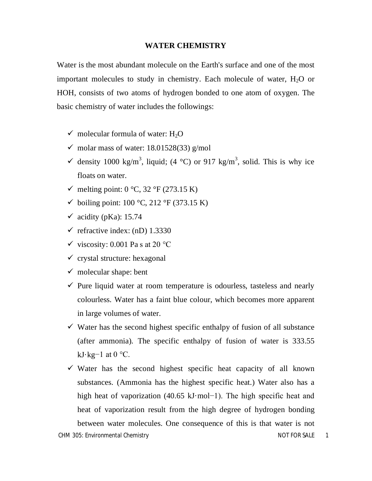### **WATER CHEMISTRY**

Water is the most abundant molecule on the Earth's surface and one of the most important molecules to study in chemistry. Each molecule of water,  $H_2O$  or HOH, consists of two atoms of hydrogen bonded to one atom of oxygen. The basic chemistry of water includes the followings:

- $\checkmark$  molecular formula of water: H<sub>2</sub>O
- $\checkmark$  molar mass of water: 18.01528(33) g/mol
- $\checkmark$  density 1000 kg/m<sup>3</sup>, liquid; (4 °C) or 917 kg/m<sup>3</sup>, solid. This is why ice floats on water.
- $\checkmark$  melting point: 0 °C, 32 °F (273.15 K)
- $\checkmark$  boiling point: 100 °C, 212 °F (373.15 K)
- $\checkmark$  acidity (pKa): 15.74
- $\checkmark$  refractive index: (nD) 1.3330
- $\checkmark$  viscosity: 0.001 Pa s at 20 °C
- $\checkmark$  crystal structure: hexagonal
- $\checkmark$  molecular shape: bent
- $\checkmark$  Pure liquid water at room temperature is odourless, tasteless and nearly colourless. Water has a faint blue colour, which becomes more apparent in large volumes of water.
- $\checkmark$  Water has the second highest specific enthalpy of fusion of all substance (after ammonia). The specific enthalpy of fusion of water is 333.55 kJ⋅kg $-1$  at 0 °C.
- $\checkmark$  Water has the second highest specific heat capacity of all known substances. (Ammonia has the highest specific heat.) Water also has a high heat of vaporization (40.65 kJ·mol−1). The high specific heat and heat of vaporization result from the high degree of hydrogen bonding between water molecules. One consequence of this is that water is not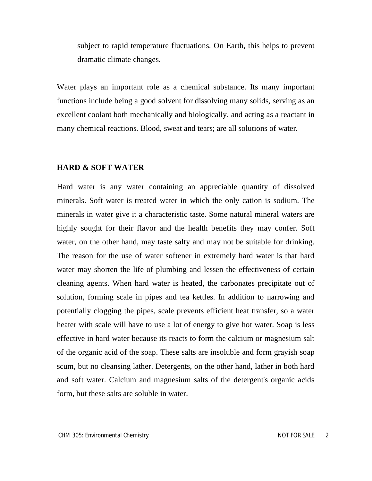subject to rapid temperature fluctuations. On Earth, this helps to prevent dramatic climate changes.

Water plays an important role as a chemical substance. Its many important functions include being a good solvent for dissolving many solids, serving as an excellent coolant both mechanically and biologically, and acting as a reactant in many chemical reactions. Blood, sweat and tears; are all solutions of water.

### **HARD & SOFT WATER**

Hard water is any water containing an appreciable quantity of dissolved minerals. Soft water is treated water in which the only cation is sodium. The minerals in water give it a characteristic taste. Some natural mineral waters are highly sought for their flavor and the health benefits they may confer. Soft water, on the other hand, may taste salty and may not be suitable for drinking. The reason for the use of water softener in extremely hard water is that hard water may shorten the life of plumbing and lessen the effectiveness of certain cleaning agents. When hard water is heated, the carbonates precipitate out of solution, forming scale in pipes and tea kettles. In addition to narrowing and potentially clogging the pipes, scale prevents efficient heat transfer, so a water heater with scale will have to use a lot of energy to give hot water. Soap is less effective in hard water because its reacts to form the calcium or magnesium salt of the organic acid of the soap. These salts are insoluble and form grayish soap scum, but no cleansing lather. Detergents, on the other hand, lather in both hard and soft water. Calcium and magnesium salts of the detergent's organic acids form, but these salts are soluble in water.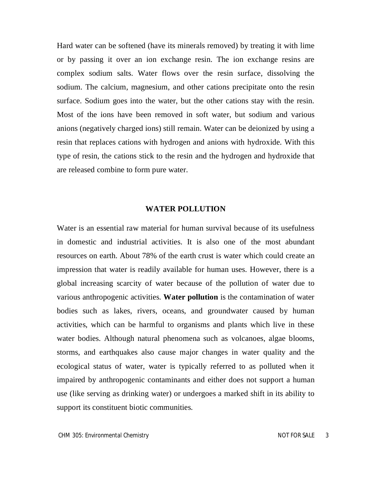Hard water can be softened (have its minerals removed) by treating it with lime or by passing it over an ion exchange resin. The ion exchange resins are complex sodium salts. Water flows over the resin surface, dissolving the sodium. The calcium, magnesium, and other cations precipitate onto the resin surface. Sodium goes into the water, but the other cations stay with the resin. Most of the ions have been removed in soft water, but sodium and various anions (negatively charged ions) still remain. Water can be deionized by using a resin that replaces cations with hydrogen and anions with hydroxide. With this type of resin, the cations stick to the resin and the hydrogen and hydroxide that are released combine to form pure water.

### **WATER POLLUTION**

Water is an essential raw material for human survival because of its usefulness in domestic and industrial activities. It is also one of the most abundant resources on earth. About 78% of the earth crust is water which could create an impression that water is readily available for human uses. However, there is a global increasing scarcity of water because of the pollution of water due to various anthropogenic activities. **Water pollution** is the contamination of water bodies such as lakes, rivers, oceans, and groundwater caused by human activities, which can be harmful to organisms and plants which live in these water bodies. Although natural phenomena such as volcanoes, algae blooms, storms, and earthquakes also cause major changes in water quality and the ecological status of water, water is typically referred to as polluted when it impaired by anthropogenic contaminants and either does not support a human use (like serving as drinking water) or undergoes a marked shift in its ability to support its constituent biotic communities.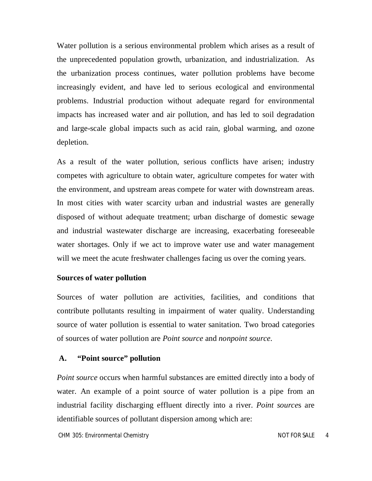Water pollution is a serious environmental problem which arises as a result of the unprecedented population growth, urbanization, and industrialization. As the urbanization process continues, water pollution problems have become increasingly evident, and have led to serious ecological and environmental problems. Industrial production without adequate regard for environmental impacts has increased water and air pollution, and has led to soil degradation and large-scale global impacts such as acid rain, global warming, and ozone depletion.

As a result of the water pollution, serious conflicts have arisen; industry competes with agriculture to obtain water, agriculture competes for water with the environment, and upstream areas compete for water with downstream areas. In most cities with water scarcity urban and industrial wastes are generally disposed of without adequate treatment; urban discharge of domestic sewage and industrial wastewater discharge are increasing, exacerbating foreseeable water shortages. Only if we act to improve water use and water management will we meet the acute freshwater challenges facing us over the coming years.

### **Sources of water pollution**

Sources of water pollution are activities, facilities, and conditions that contribute pollutants resulting in impairment of water quality. Understanding source of water pollution is essential to water sanitation. Two broad categories of sources of water pollution are *Point source* and *nonpoint source*.

### **A. "Point source" pollution**

*Point source* occurs when harmful substances are emitted directly into a body of water. An example of a point source of water pollution is a pipe from an industrial facility discharging effluent directly into a river. *Point source*s are identifiable sources of pollutant dispersion among which are: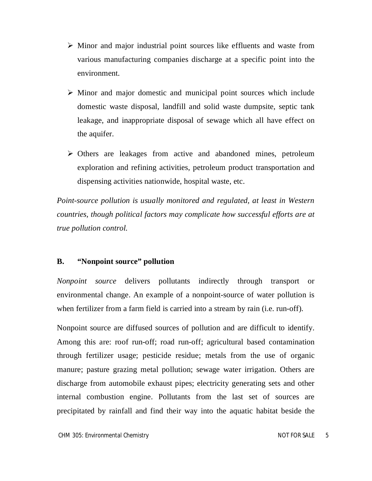- $\triangleright$  Minor and major industrial point sources like effluents and waste from various manufacturing companies discharge at a specific point into the environment.
- $\triangleright$  Minor and major domestic and municipal point sources which include domestic waste disposal, landfill and solid waste dumpsite, septic tank leakage, and inappropriate disposal of sewage which all have effect on the aquifer.
- Others are leakages from active and abandoned mines, petroleum exploration and refining activities, petroleum product transportation and dispensing activities nationwide, hospital waste, etc.

*Point-source pollution is usually monitored and regulated, at least in Western countries, though political factors may complicate how successful efforts are at true pollution control.*

# **B. "Nonpoint source" pollution**

*Nonpoint source* delivers pollutants indirectly through transport or environmental change. An example of a nonpoint-source of water pollution is when fertilizer from a farm field is carried into a stream by rain (i.e. run-off).

Nonpoint source are diffused sources of pollution and are difficult to identify. Among this are: roof run-off; road run-off; agricultural based contamination through fertilizer usage; pesticide residue; metals from the use of organic manure; pasture grazing metal pollution; sewage water irrigation. Others are discharge from automobile exhaust pipes; electricity generating sets and other internal combustion engine. Pollutants from the last set of sources are precipitated by rainfall and find their way into the aquatic habitat beside the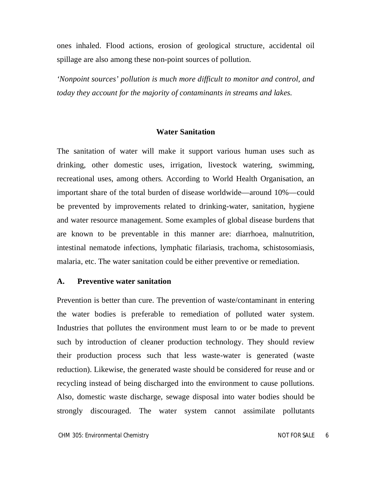ones inhaled. Flood actions, erosion of geological structure, accidental oil spillage are also among these non-point sources of pollution.

*'Nonpoint sources' pollution is much more difficult to monitor and control, and today they account for the majority of contaminants in streams and lakes.*

## **Water Sanitation**

The sanitation of water will make it support various human uses such as drinking, other domestic uses, irrigation, livestock watering, swimming, recreational uses, among others. According to World Health Organisation, an important share of the total burden of disease worldwide—around 10%—could be prevented by improvements related to drinking-water, sanitation, hygiene and water resource management. Some examples of global disease burdens that are known to be preventable in this manner are: diarrhoea, malnutrition, intestinal nematode infections, lymphatic filariasis, trachoma, schistosomiasis, malaria, etc. The water sanitation could be either preventive or remediation.

#### **A. Preventive water sanitation**

Prevention is better than cure. The prevention of waste/contaminant in entering the water bodies is preferable to remediation of polluted water system. Industries that pollutes the environment must learn to or be made to prevent such by introduction of cleaner production technology. They should review their production process such that less waste-water is generated (waste reduction). Likewise, the generated waste should be considered for reuse and or recycling instead of being discharged into the environment to cause pollutions. Also, domestic waste discharge, sewage disposal into water bodies should be strongly discouraged. The water system cannot assimilate pollutants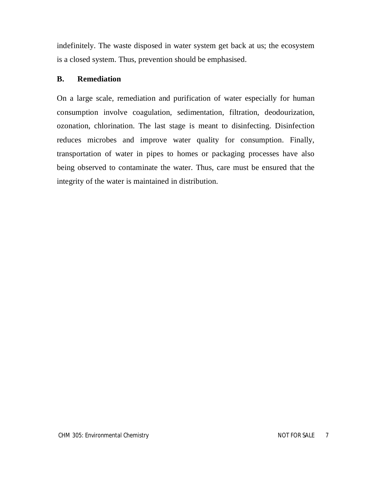indefinitely. The waste disposed in water system get back at us; the ecosystem is a closed system. Thus, prevention should be emphasised.

# **B. Remediation**

On a large scale, remediation and purification of water especially for human consumption involve coagulation, sedimentation, filtration, deodourization, ozonation, chlorination. The last stage is meant to disinfecting. Disinfection reduces microbes and improve water quality for consumption. Finally, transportation of water in pipes to homes or packaging processes have also being observed to contaminate the water. Thus, care must be ensured that the integrity of the water is maintained in distribution.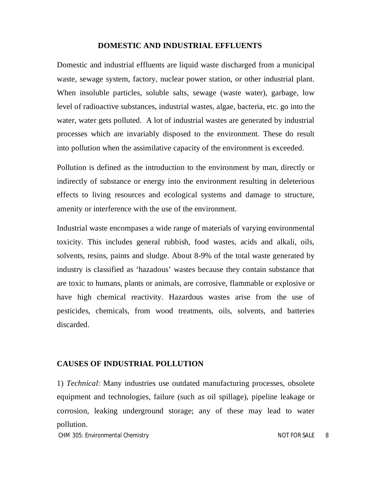#### **DOMESTIC AND INDUSTRIAL EFFLUENTS**

Domestic and industrial effluents are liquid waste discharged from a municipal waste, sewage system, factory, nuclear power station, or other industrial plant. When insoluble particles, soluble salts, sewage (waste water), garbage, low level of radioactive substances, industrial wastes, algae, bacteria, etc. go into the water, water gets polluted. A lot of industrial wastes are generated by industrial processes which are invariably disposed to the environment. These do result into pollution when the assimilative capacity of the environment is exceeded.

Pollution is defined as the introduction to the environment by man, directly or indirectly of substance or energy into the environment resulting in deleterious effects to living resources and ecological systems and damage to structure, amenity or interference with the use of the environment.

Industrial waste encompases a wide range of materials of varying environmental toxicity. This includes general rubbish, food wastes, acids and alkali, oils, solvents, resins, paints and sludge. About 8-9% of the total waste generated by industry is classified as 'hazadous' wastes because they contain substance that are toxic to humans, plants or animals, are corrosive, flammable or explosive or have high chemical reactivity. Hazardous wastes arise from the use of pesticides, chemicals, from wood treatments, oils, solvents, and batteries discarded.

### **CAUSES OF INDUSTRIAL POLLUTION**

1) *Technical*: Many industries use outdated manufacturing processes, obsolete equipment and technologies, failure (such as oil spillage), pipeline leakage or corrosion, leaking underground storage; any of these may lead to water pollution.

*CHM 305: Environmental Chemistry NOT FOR SALE 8*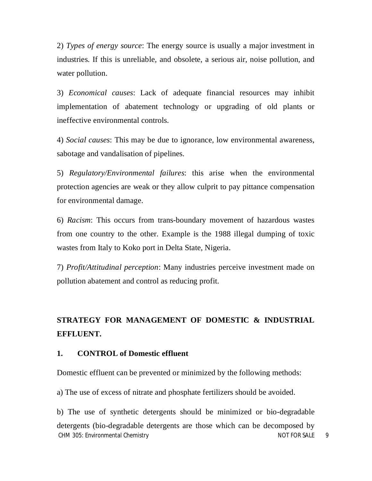2) *Types of energy source*: The energy source is usually a major investment in industries. If this is unreliable, and obsolete, a serious air, noise pollution, and water pollution.

3) *Economical causes*: Lack of adequate financial resources may inhibit implementation of abatement technology or upgrading of old plants or ineffective environmental controls.

4) *Social causes*: This may be due to ignorance, low environmental awareness, sabotage and vandalisation of pipelines.

5) *Regulatory/Environmental failures*: this arise when the environmental protection agencies are weak or they allow culprit to pay pittance compensation for environmental damage.

6) *Racism*: This occurs from trans-boundary movement of hazardous wastes from one country to the other. Example is the 1988 illegal dumping of toxic wastes from Italy to Koko port in Delta State, Nigeria.

7) *Profit/Attitudinal perception*: Many industries perceive investment made on pollution abatement and control as reducing profit.

# **STRATEGY FOR MANAGEMENT OF DOMESTIC & INDUSTRIAL EFFLUENT.**

### **1. CONTROL of Domestic effluent**

Domestic effluent can be prevented or minimized by the following methods:

a) The use of excess of nitrate and phosphate fertilizers should be avoided.

*CHM 305: Environmental Chemistry NOT FOR SALE 9* b) The use of synthetic detergents should be minimized or bio-degradable detergents (bio-degradable detergents are those which can be decomposed by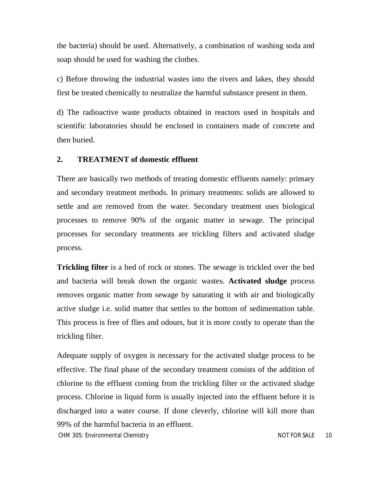the bacteria) should be used. Alternatively, a combination of washing soda and soap should be used for washing the clothes.

c) Before throwing the industrial wastes into the rivers and lakes, they should first be treated chemically to neutralize the harmful substance present in them.

d) The radioactive waste products obtained in reactors used in hospitals and scientific laboratories should be enclosed in containers made of concrete and then buried.

### **2. TREATMENT of domestic effluent**

There are basically two methods of treating domestic effluents namely: primary and secondary treatment methods. In primary treatments: solids are allowed to settle and are removed from the water. Secondary treatment uses biological processes to remove 90% of the organic matter in sewage. The principal processes for secondary treatments are trickling filters and activated sludge process.

**Trickling filter** is a bed of rock or stones. The sewage is trickled over the bed and bacteria will break down the organic wastes. **Activated sludge** process removes organic matter from sewage by saturating it with air and biologically active sludge i.e. solid matter that settles to the bottom of sedimentation table. This process is free of flies and odours, but it is more costly to operate than the trickling filter.

Adequate supply of oxygen is necessary for the activated sludge process to be effective. The final phase of the secondary treatment consists of the addition of chlorine to the effluent coming from the trickling filter or the activated sludge process. Chlorine in liquid form is usually injected into the effluent before it is discharged into a water course. If done cleverly, chlorine will kill more than 99% of the harmful bacteria in an effluent.

*CHM 305: Environmental Chemistry NOT FOR SALE 10*